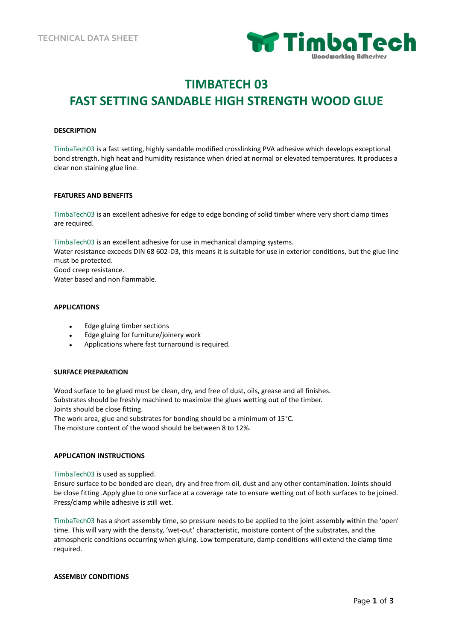

# **TIMBATECH 03 FAST SETTING SANDABLE HIGH STRENGTH WOOD GLUE**

## **DESCRIPTION**

TimbaTech03 is a fast setting, highly sandable modified crosslinking PVA adhesive which develops exceptional bond strength, high heat and humidity resistance when dried at normal or elevated temperatures. It produces a clear non staining glue line.

### **FEATURES AND BENEFITS**

TimbaTech03 is an excellent adhesive for edge to edge bonding of solid timber where very short clamp times are required.

TimbaTech03 is an excellent adhesive for use in mechanical clamping systems.

Water resistance exceeds DIN 68 602-D3, this means it is suitable for use in exterior conditions, but the glue line must be protected.

Good creep resistance.

Water based and non flammable.

# **APPLICATIONS**

- Edge gluing timber sections
- Edge gluing for furniture/joinery work
- Applications where fast turnaround is required.

## **SURFACE PREPARATION**

Wood surface to be glued must be clean, dry, and free of dust, oils, grease and all finishes. Substrates should be freshly machined to maximize the glues wetting out of the timber. Joints should be close fitting.

The work area, glue and substrates for bonding should be a minimum of 15°C. The moisture content of the wood should be between 8 to 12%.

## **APPLICATION INSTRUCTIONS**

TimbaTech03 is used as supplied.

Ensure surface to be bonded are clean, dry and free from oil, dust and any other contamination. Joints should be close fitting .Apply glue to one surface at a coverage rate to ensure wetting out of both surfaces to be joined. Press/clamp while adhesive is still wet.

TimbaTech03 has a short assembly time, so pressure needs to be applied to the joint assembly within the 'open' time. This will vary with the density, 'wet-out' characteristic, moisture content of the substrates, and the atmospheric conditions occurring when gluing. Low temperature, damp conditions will extend the clamp time required.

### **ASSEMBLY CONDITIONS**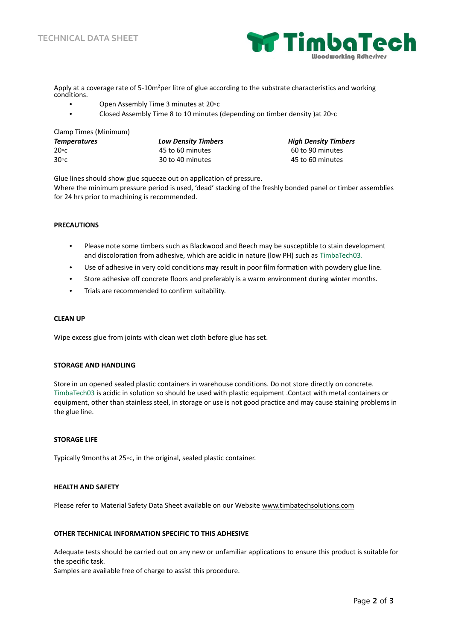

Apply at a coverage rate of 5-10m<sup>2</sup>per litre of glue according to the substrate characteristics and working conditions.

- Open Assembly Time 3 minutes at 20◦c
- Closed Assembly Time 8 to 10 minutes (depending on timber density )at 20◦c

| Clamp Times (Minimum) |                            |                             |
|-----------------------|----------------------------|-----------------------------|
| <b>Temperatures</b>   | <b>Low Density Timbers</b> | <b>High Density Timbers</b> |
| $20 \circ c$          | 45 to 60 minutes           | 60 to 90 minutes            |
| $30^{\circ}$ c        | 30 to 40 minutes           | 45 to 60 minutes            |

Glue lines should show glue squeeze out on application of pressure.

Where the minimum pressure period is used, 'dead' stacking of the freshly bonded panel or timber assemblies for 24 hrs prior to machining is recommended.

## **PRECAUTIONS**

- Please note some timbers such as Blackwood and Beech may be susceptible to stain development and discoloration from adhesive, which are acidic in nature (low PH) such as TimbaTech03.
- Use of adhesive in very cold conditions may result in poor film formation with powdery glue line.
- Store adhesive off concrete floors and preferably is a warm environment during winter months.
- Trials are recommended to confirm suitability.

### **CLEAN UP**

Wipe excess glue from joints with clean wet cloth before glue has set.

### **STORAGE AND HANDLING**

Store in un opened sealed plastic containers in warehouse conditions. Do not store directly on concrete. TimbaTech03 is acidic in solution so should be used with plastic equipment .Contact with metal containers or equipment, other than stainless steel, in storage or use is not good practice and may cause staining problems in the glue line.

### **STORAGE LIFE**

Typically 9months at 25◦c, in the original, sealed plastic container.

## **HEALTH AND SAFETY**

Please refer to Material Safety Data Sheet available on our Website www.timbatechsolutions.com

# **OTHER TECHNICAL INFORMATION SPECIFIC TO THIS ADHESIVE**

Adequate tests should be carried out on any new or unfamiliar applications to ensure this product is suitable for the specific task.

Samples are available free of charge to assist this procedure.